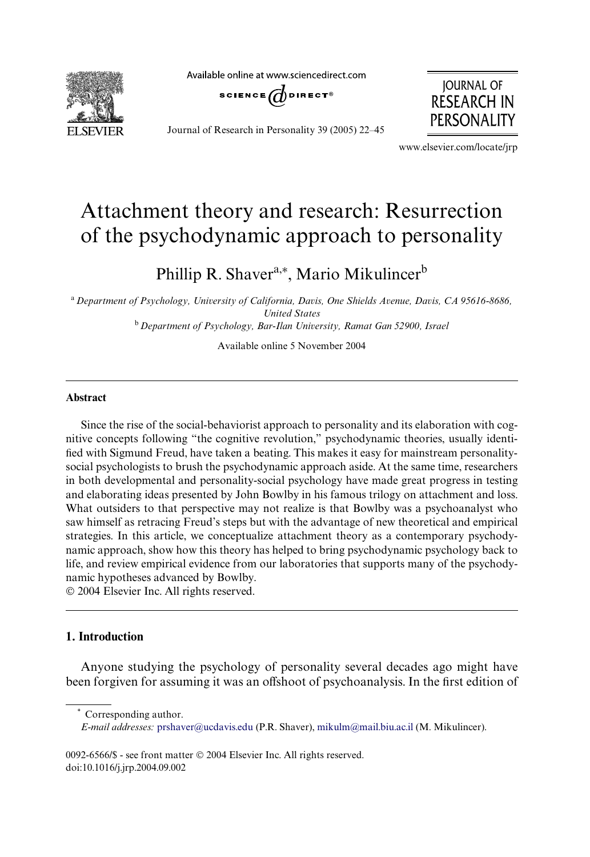

Available online at www.sciencedirect.com



**RESEARCH IN** PERSONALITY

Journal of Research in Personality 39 (2005) 22–45

www.elsevier.com/locate/jrp

**JOURNAL OF** 

# Attachment theory and research: Resurrection of the psychodynamic approach to personality

Phillip R. Shaver<sup>a,\*</sup>, Mario Mikulincer<sup>b</sup>

<sup>a</sup>*Department of Psychology, University of California, Davis, One Shields Avenue, Davis, CA 95616-8686, United States* <sup>b</sup>*Department of Psychology, Bar-Ilan University, Ramat Gan 52900, Israel*

Available online 5 November 2004

### **Abstract**

Since the rise of the social-behaviorist approach to personality and its elaboration with cognitive concepts following "the cognitive revolution," psychodynamic theories, usually identified with Sigmund Freud, have taken a beating. This makes it easy for mainstream personalitysocial psychologists to brush the psychodynamic approach aside. At the same time, researchers in both developmental and personality-social psychology have made great progress in testing and elaborating ideas presented by John Bowlby in his famous trilogy on attachment and loss. What outsiders to that perspective may not realize is that Bowlby was a psychoanalyst who saw himself as retracing Freud's steps but with the advantage of new theoretical and empirical strategies. In this article, we conceptualize attachment theory as a contemporary psychodynamic approach, show how this theory has helped to bring psychodynamic psychology back to life, and review empirical evidence from our laboratories that supports many of the psychodynamic hypotheses advanced by Bowlby.

2004 Elsevier Inc. All rights reserved.

### **1. Introduction**

Anyone studying the psychology of personality several decades ago might have been forgiven for assuming it was an offshoot of psychoanalysis. In the first edition of

0092-6566/\$ - see front matter © 2004 Elsevier Inc. All rights reserved. doi:10.1016/j.jrp.2004.09.002

Corresponding author.

*E-mail addresses:* [prshaver@ucdavis.edu](mailto: prshaver@ucdavis.edu) (P.R. Shaver), [mikulm@mail.biu.ac.il](mailto: mikulm@mail.biu.ac.il) (M. Mikulincer).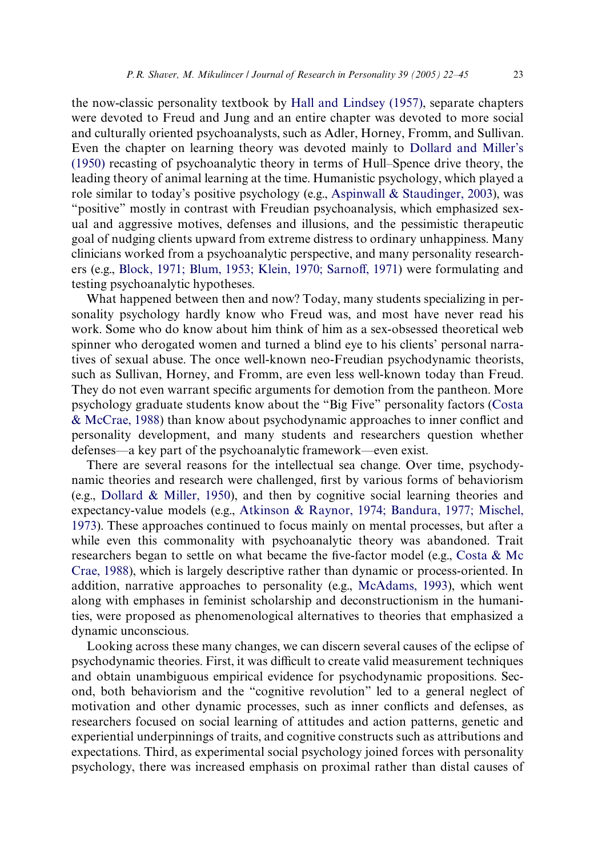the now-classic personality textbook by [Hall and Lindsey \(1957\),](#page-21-0) separate chapters were devoted to Freud and Jung and an entire chapter was devoted to more social and culturally oriented psychoanalysts, such as Adler, Horney, Fromm, and Sullivan. Even the chapter on learning theory was devoted mainly to [Dollard and Miller's](#page-21-1) [\(1950\)](#page-21-1) recasting of psychoanalytic theory in terms of Hull–Spence drive theory, the leading theory of animal learning at the time. Humanistic psychology, which played a role similar to today's positive psychology (e.g., [Aspinwall & Staudinger, 2003\)](#page-20-0), was "positive" mostly in contrast with Freudian psychoanalysis, which emphasized sexual and aggressive motives, defenses and illusions, and the pessimistic therapeutic goal of nudging clients upward from extreme distress to ordinary unhappiness. Many clinicians worked from a psychoanalytic perspective, and many personality research-ers (e.g., [Block, 1971; Blum, 1953; Klein, 1970; Sarno](#page-20-1)ff[, 1971](#page-20-1)) were formulating and testing psychoanalytic hypotheses.

What happened between then and now? Today, many students specializing in personality psychology hardly know who Freud was, and most have never read his work. Some who do know about him think of him as a sex-obsessed theoretical web spinner who derogated women and turned a blind eye to his clients' personal narratives of sexual abuse. The once well-known neo-Freudian psychodynamic theorists, such as Sullivan, Horney, and Fromm, are even less well-known today than Freud. They do not even warrant specific arguments for demotion from the pantheon. More psychology graduate students know about the "Big Five" personality factors ([Costa](#page-21-2) [& McCrae, 1988\)](#page-21-2) than know about psychodynamic approaches to inner conflict and personality development, and many students and researchers question whether defenses—a key part of the psychoanalytic framework—even exist.

There are several reasons for the intellectual sea change. Over time, psychodynamic theories and research were challenged, first by various forms of behaviorism (e.g., [Dollard & Miller, 1950\)](#page-21-1), and then by cognitive social learning theories and expectancy-value models (e.g., [Atkinson & Raynor, 1974; Bandura, 1977; Mischel,](#page-20-2) [1973\)](#page-20-2). These approaches continued to focus mainly on mental processes, but after a while even this commonality with psychoanalytic theory was abandoned. Trait researchers began to settle on what became the five-factor model (e.g., [Costa & Mc](#page-21-2) [Crae, 1988](#page-21-2)), which is largely descriptive rather than dynamic or process-oriented. In addition, narrative approaches to personality (e.g., [McAdams, 1993](#page-22-0)), which went along with emphases in feminist scholarship and deconstructionism in the humanities, were proposed as phenomenological alternatives to theories that emphasized a dynamic unconscious.

Looking across these many changes, we can discern several causes of the eclipse of psychodynamic theories. First, it was difficult to create valid measurement techniques and obtain unambiguous empirical evidence for psychodynamic propositions. Second, both behaviorism and the "cognitive revolution" led to a general neglect of motivation and other dynamic processes, such as inner conflicts and defenses, as researchers focused on social learning of attitudes and action patterns, genetic and experiential underpinnings of traits, and cognitive constructs such as attributions and expectations. Third, as experimental social psychology joined forces with personality psychology, there was increased emphasis on proximal rather than distal causes of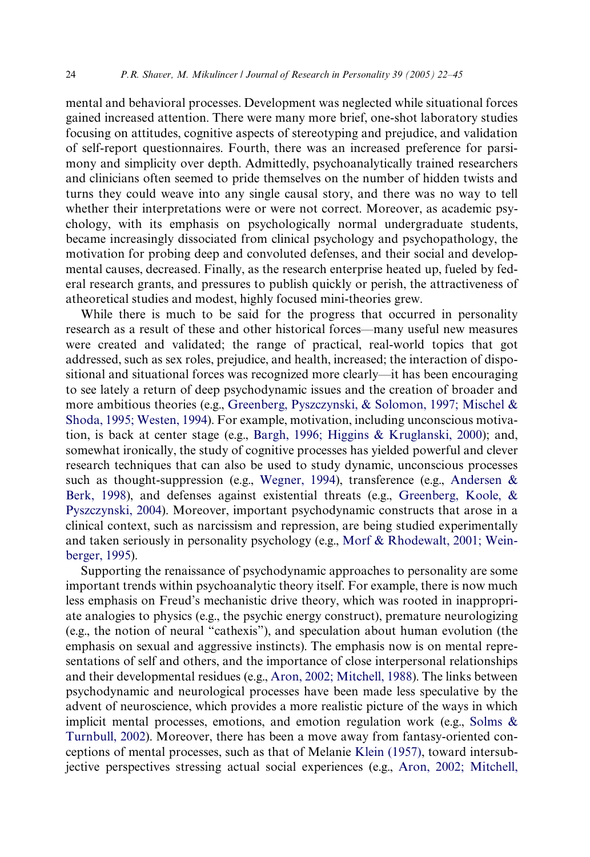mental and behavioral processes. Development was neglected while situational forces gained increased attention. There were many more brief, one-shot laboratory studies focusing on attitudes, cognitive aspects of stereotyping and prejudice, and validation of self-report questionnaires. Fourth, there was an increased preference for parsimony and simplicity over depth. Admittedly, psychoanalytically trained researchers and clinicians often seemed to pride themselves on the number of hidden twists and turns they could weave into any single causal story, and there was no way to tell whether their interpretations were or were not correct. Moreover, as academic psychology, with its emphasis on psychologically normal undergraduate students, became increasingly dissociated from clinical psychology and psychopathology, the motivation for probing deep and convoluted defenses, and their social and developmental causes, decreased. Finally, as the research enterprise heated up, fueled by federal research grants, and pressures to publish quickly or perish, the attractiveness of atheoretical studies and modest, highly focused mini-theories grew.

While there is much to be said for the progress that occurred in personality research as a result of these and other historical forces—many useful new measures were created and validated; the range of practical, real-world topics that got addressed, such as sex roles, prejudice, and health, increased; the interaction of dispositional and situational forces was recognized more clearly—it has been encouraging to see lately a return of deep psychodynamic issues and the creation of broader and more ambitious theories (e.g., [Greenberg, Pyszczynski, & Solomon, 1997; Mischel &](#page-21-3) [Shoda, 1995; Westen, 1994\)](#page-21-3). For example, motivation, including unconscious motivation, is back at center stage (e.g., [Bargh, 1996; Higgins & Kruglanski, 2000\)](#page-20-3); and, somewhat ironically, the study of cognitive processes has yielded powerful and clever research techniques that can also be used to study dynamic, unconscious processes such as thought-suppression (e.g., [Wegner, 1994](#page-23-0)), transference (e.g., [Andersen &](#page-20-4) [Berk, 1998](#page-20-4)), and defenses against existential threats (e.g., [Greenberg, Koole, &](#page-21-4) [Pyszczynski, 2004](#page-21-4)). Moreover, important psychodynamic constructs that arose in a clinical context, such as narcissism and repression, are being studied experimentally and taken seriously in personality psychology (e.g., [Morf & Rhodewalt, 2001; Wein](#page-22-1)[berger, 1995\)](#page-22-1).

Supporting the renaissance of psychodynamic approaches to personality are some important trends within psychoanalytic theory itself. For example, there is now much less emphasis on Freud's mechanistic drive theory, which was rooted in inappropriate analogies to physics (e.g., the psychic energy construct), premature neurologizing (e.g., the notion of neural "cathexis"), and speculation about human evolution (the emphasis on sexual and aggressive instincts). The emphasis now is on mental representations of self and others, and the importance of close interpersonal relationships and their developmental residues (e.g., [Aron, 2002; Mitchell, 1988](#page-20-5)). The links between psychodynamic and neurological processes have been made less speculative by the advent of neuroscience, which provides a more realistic picture of the ways in which implicit mental processes, emotions, and emotion regulation work (e.g., [Solms &](#page-23-1) [Turnbull, 2002](#page-23-1)). Moreover, there has been a move away from fantasy-oriented conceptions of mental processes, such as that of Melanie [Klein \(1957\),](#page-22-2) toward intersubjective perspectives stressing actual social experiences (e.g., [Aron, 2002; Mitchell,](#page-20-5)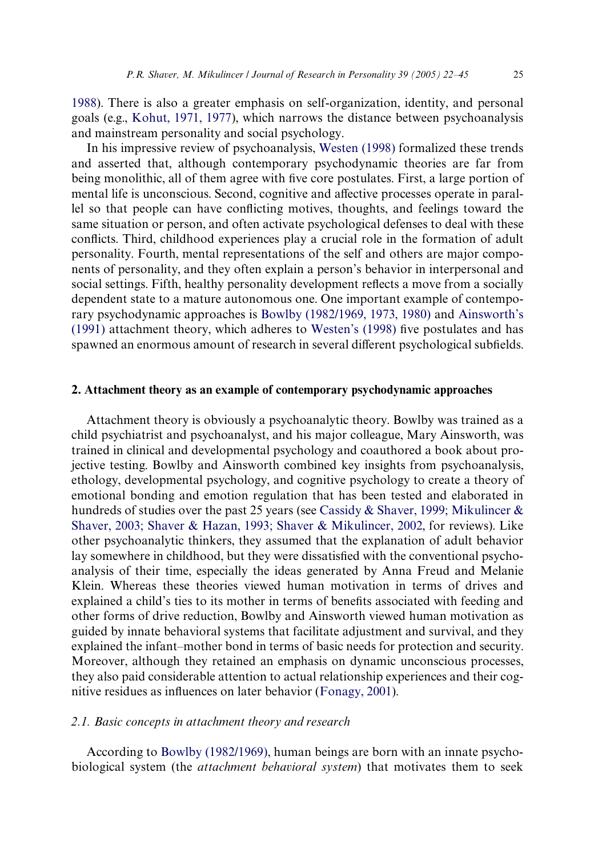[1988\)](#page-20-5). There is also a greater emphasis on self-organization, identity, and personal goals (e.g., [Kohut, 1971, 1977\)](#page-22-3), which narrows the distance between psychoanalysis and mainstream personality and social psychology.

In his impressive review of psychoanalysis, [Westen \(1998\)](#page-23-2) formalized these trends and asserted that, although contemporary psychodynamic theories are far from being monolithic, all of them agree with five core postulates. First, a large portion of mental life is unconscious. Second, cognitive and affective processes operate in parallel so that people can have conflicting motives, thoughts, and feelings toward the same situation or person, and often activate psychological defenses to deal with these conflicts. Third, childhood experiences play a crucial role in the formation of adult personality. Fourth, mental representations of the self and others are major components of personality, and they often explain a person's behavior in interpersonal and social settings. Fifth, healthy personality development reflects a move from a socially dependent state to a mature autonomous one. One important example of contemporary psychodynamic approaches is [Bowlby \(1982/1969, 1973, 1980\)](#page-20-6) and [Ainsworth's](#page-20-7)  $(1991)$  attachment theory, which adheres to Westen's  $(1998)$  five postulates and has spawned an enormous amount of research in several different psychological subfields.

#### **2. Attachment theory as an example of contemporary psychodynamic approaches**

Attachment theory is obviously a psychoanalytic theory. Bowlby was trained as a child psychiatrist and psychoanalyst, and his major colleague, Mary Ainsworth, was trained in clinical and developmental psychology and coauthored a book about projective testing. Bowlby and Ainsworth combined key insights from psychoanalysis, ethology, developmental psychology, and cognitive psychology to create a theory of emotional bonding and emotion regulation that has been tested and elaborated in hundreds of studies over the past 25 years (see [Cassidy & Shaver, 1999; Mikulincer &](#page-21-5) [Shaver, 2003; Shaver & Hazan, 1993; Shaver & Mikulincer, 2002](#page-21-5), for reviews). Like other psychoanalytic thinkers, they assumed that the explanation of adult behavior lay somewhere in childhood, but they were dissatisfied with the conventional psychoanalysis of their time, especially the ideas generated by Anna Freud and Melanie Klein. Whereas these theories viewed human motivation in terms of drives and explained a child's ties to its mother in terms of benefits associated with feeding and other forms of drive reduction, Bowlby and Ainsworth viewed human motivation as guided by innate behavioral systems that facilitate adjustment and survival, and they explained the infant–mother bond in terms of basic needs for protection and security. Moreover, although they retained an emphasis on dynamic unconscious processes, they also paid considerable attention to actual relationship experiences and their cog-nitive residues as influences on later behavior ([Fonagy, 2001](#page-21-6)).

#### *2.1. Basic concepts in attachment theory and research*

According to [Bowlby \(1982/1969\),](#page-20-6) human beings are born with an innate psychobiological system (the *attachment behavioral system*) that motivates them to seek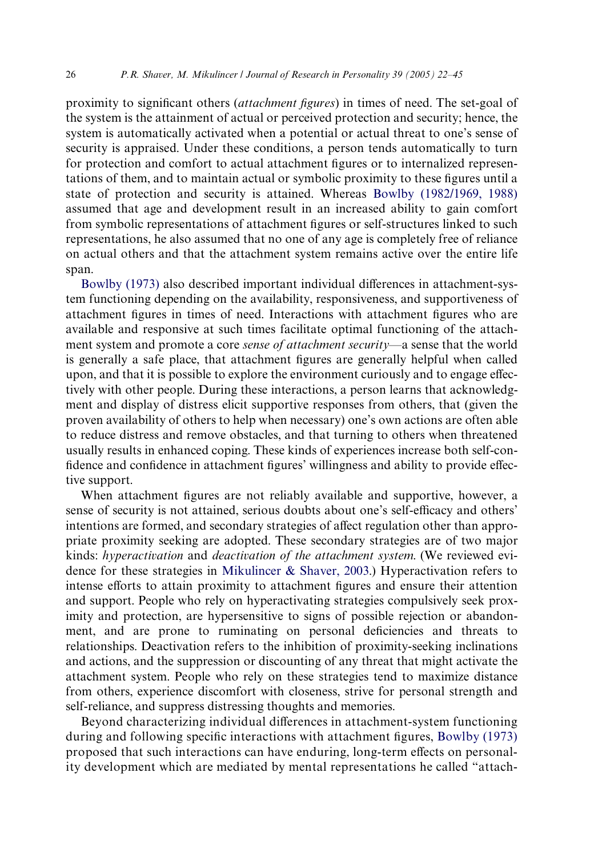proximity to significant others (*attachment figures*) in times of need. The set-goal of the system is the attainment of actual or perceived protection and security; hence, the system is automatically activated when a potential or actual threat to one's sense of security is appraised. Under these conditions, a person tends automatically to turn for protection and comfort to actual attachment figures or to internalized representations of them, and to maintain actual or symbolic proximity to these figures until a state of protection and security is attained. Whereas [Bowlby \(1982/1969, 1988\)](#page-20-6) assumed that age and development result in an increased ability to gain comfort from symbolic representations of attachment figures or self-structures linked to such representations, he also assumed that no one of any age is completely free of reliance on actual others and that the attachment system remains active over the entire life span.

[Bowlby \(1973\)](#page-20-8) also described important individual differences in attachment-system functioning depending on the availability, responsiveness, and supportiveness of attachment figures in times of need. Interactions with attachment figures who are available and responsive at such times facilitate optimal functioning of the attachment system and promote a core *sense of attachment security*—a sense that the world is generally a safe place, that attachment figures are generally helpful when called upon, and that it is possible to explore the environment curiously and to engage effectively with other people. During these interactions, a person learns that acknowledgment and display of distress elicit supportive responses from others, that (given the proven availability of others to help when necessary) one's own actions are often able to reduce distress and remove obstacles, and that turning to others when threatened usually results in enhanced coping. These kinds of experiences increase both self-confidence and confidence in attachment figures' willingness and ability to provide effective support.

When attachment figures are not reliably available and supportive, however, a sense of security is not attained, serious doubts about one's self-efficacy and others' intentions are formed, and secondary strategies of affect regulation other than appropriate proximity seeking are adopted. These secondary strategies are of two major kinds: *hyperactivation* and *deactivation of the attachment system*. (We reviewed evidence for these strategies in [Mikulincer & Shaver, 2003](#page-22-4).) Hyperactivation refers to intense efforts to attain proximity to attachment figures and ensure their attention and support. People who rely on hyperactivating strategies compulsively seek proximity and protection, are hypersensitive to signs of possible rejection or abandonment, and are prone to ruminating on personal deficiencies and threats to relationships. Deactivation refers to the inhibition of proximity-seeking inclinations and actions, and the suppression or discounting of any threat that might activate the attachment system. People who rely on these strategies tend to maximize distance from others, experience discomfort with closeness, strive for personal strength and self-reliance, and suppress distressing thoughts and memories.

Beyond characterizing individual differences in attachment-system functioning during and following specific interactions with attachment figures, [Bowlby \(1973\)](#page-20-8) proposed that such interactions can have enduring, long-term effects on personality development which are mediated by mental representations he called "attach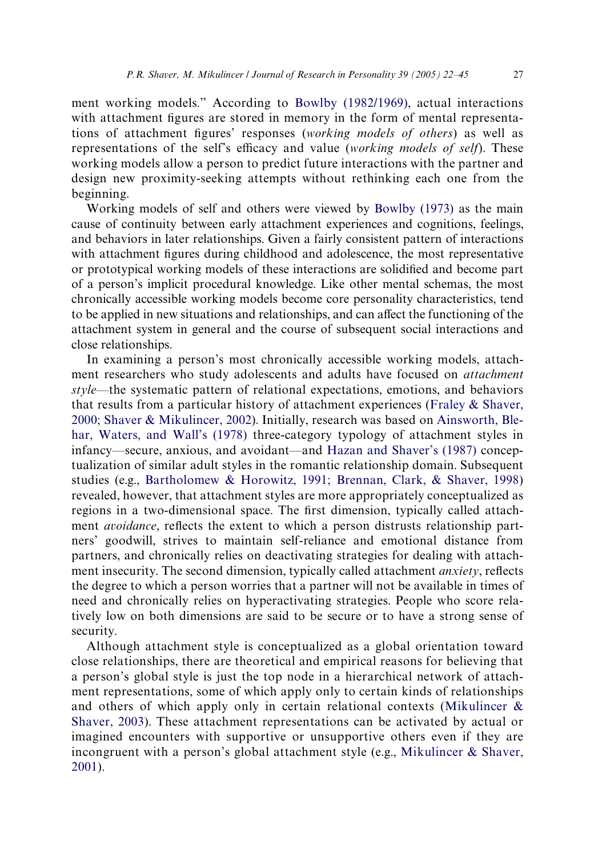ment working models." According to [Bowlby \(1982/1969\),](#page-20-6) actual interactions with attachment figures are stored in memory in the form of mental representations of attachment figures' responses (*working models of others*) as well as representations of the self's efficacy and value (*working models of self*). These working models allow a person to predict future interactions with the partner and design new proximity-seeking attempts without rethinking each one from the beginning.

Working models of self and others were viewed by [Bowlby \(1973\)](#page-20-8) as the main cause of continuity between early attachment experiences and cognitions, feelings, and behaviors in later relationships. Given a fairly consistent pattern of interactions with attachment figures during childhood and adolescence, the most representative or prototypical working models of these interactions are solidified and become part of a person's implicit procedural knowledge. Like other mental schemas, the most chronically accessible working models become core personality characteristics, tend to be applied in new situations and relationships, and can affect the functioning of the attachment system in general and the course of subsequent social interactions and close relationships.

In examining a person's most chronically accessible working models, attachment researchers who study adolescents and adults have focused on *attachment style*—the systematic pattern of relational expectations, emotions, and behaviors that results from a particular history of attachment experiences [\(Fraley & Shaver,](#page-21-7) [2000; Shaver & Mikulincer, 2002\)](#page-21-7). Initially, research was based on [Ainsworth, Ble](#page-20-9)[har, Waters, and Wall's \(1978\)](#page-20-9) three-category typology of attachment styles in infancy—secure, anxious, and avoidant—and [Hazan and Shaver's \(1987\)](#page-21-8) conceptualization of similar adult styles in the romantic relationship domain. Subsequent studies (e.g., [Bartholomew & Horowitz, 1991; Brennan, Clark, & Shaver, 1998](#page-20-10)) revealed, however, that attachment styles are more appropriately conceptualized as regions in a two-dimensional space. The first dimension, typically called attachment *avoidance*, reflects the extent to which a person distrusts relationship partners' goodwill, strives to maintain self-reliance and emotional distance from partners, and chronically relies on deactivating strategies for dealing with attachment insecurity. The second dimension, typically called attachment *anxiety*, reflects the degree to which a person worries that a partner will not be available in times of need and chronically relies on hyperactivating strategies. People who score relatively low on both dimensions are said to be secure or to have a strong sense of security.

Although attachment style is conceptualized as a global orientation toward close relationships, there are theoretical and empirical reasons for believing that a person's global style is just the top node in a hierarchical network of attachment representations, some of which apply only to certain kinds of relationships and others of which apply only in certain relational contexts (Mikulincer  $\&$ [Shaver, 2003](#page-22-4)). These attachment representations can be activated by actual or imagined encounters with supportive or unsupportive others even if they are incongruent with a person's global attachment style (e.g., [Mikulincer & Shaver,](#page-22-5) [2001\)](#page-22-5).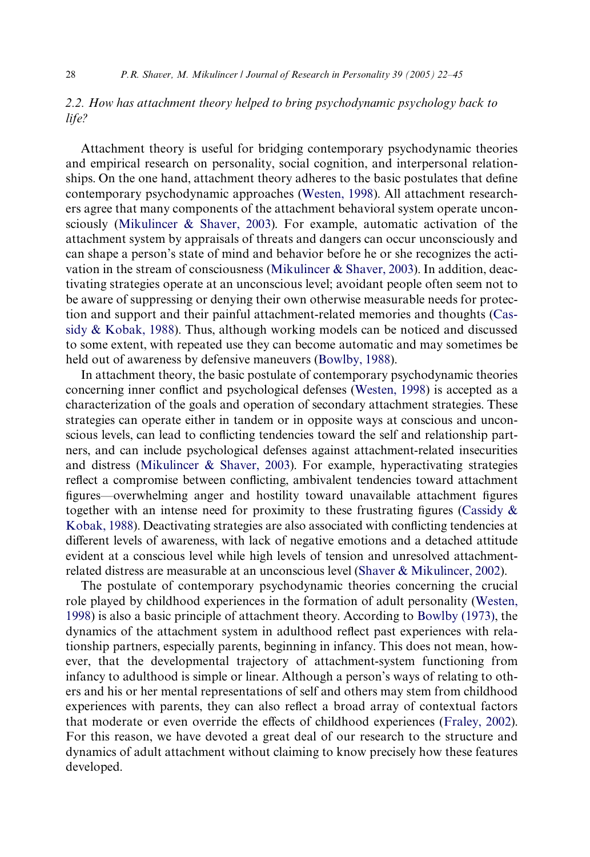## *2.2. How has attachment theory helped to bring psychodynamic psychology back to life?*

Attachment theory is useful for bridging contemporary psychodynamic theories and empirical research on personality, social cognition, and interpersonal relationships. On the one hand, attachment theory adheres to the basic postulates that define contemporary psychodynamic approaches ([Westen, 1998](#page-23-2)). All attachment researchers agree that many components of the attachment behavioral system operate unconsciously [\(Mikulincer & Shaver, 2003](#page-22-4)). For example, automatic activation of the attachment system by appraisals of threats and dangers can occur unconsciously and can shape a person's state of mind and behavior before he or she recognizes the activation in the stream of consciousness ([Mikulincer & Shaver, 2003](#page-22-4)). In addition, deactivating strategies operate at an unconscious level; avoidant people often seem not to be aware of suppressing or denying their own otherwise measurable needs for protection and support and their painful attachment-related memories and thoughts ([Cas](#page-21-9)sidy  $&$  Kobak, 1988). Thus, although working models can be noticed and discussed to some extent, with repeated use they can become automatic and may sometimes be held out of awareness by defensive maneuvers ([Bowlby, 1988\)](#page-21-10).

In attachment theory, the basic postulate of contemporary psychodynamic theories concerning inner conflict and psychological defenses ([Westen, 1998\)](#page-23-2) is accepted as a characterization of the goals and operation of secondary attachment strategies. These strategies can operate either in tandem or in opposite ways at conscious and unconscious levels, can lead to conflicting tendencies toward the self and relationship partners, and can include psychological defenses against attachment-related insecurities and distress (Mikulincer  $\&$  Shaver, 2003). For example, hyperactivating strategies reflect a compromise between conflicting, ambivalent tendencies toward attachment figures—overwhelming anger and hostility toward unavailable attachment figures together with an intense need for proximity to these frustrating figures (Cassidy  $\&$ [Kobak, 1988\)](#page-21-9). Deactivating strategies are also associated with conflicting tendencies at different levels of awareness, with lack of negative emotions and a detached attitude evident at a conscious level while high levels of tension and unresolved attachmentrelated distress are measurable at an unconscious level ([Shaver & Mikulincer, 2002](#page-22-6)).

The postulate of contemporary psychodynamic theories concerning the crucial role played by childhood experiences in the formation of adult personality [\(Westen,](#page-23-2) [1998](#page-23-2)) is also a basic principle of attachment theory. According to [Bowlby \(1973\),](#page-20-8) the dynamics of the attachment system in adulthood reflect past experiences with relationship partners, especially parents, beginning in infancy. This does not mean, however, that the developmental trajectory of attachment-system functioning from infancy to adulthood is simple or linear. Although a person's ways of relating to others and his or her mental representations of self and others may stem from childhood experiences with parents, they can also reflect a broad array of contextual factors that moderate or even override the effects of childhood experiences [\(Fraley, 2002\)](#page-21-11). For this reason, we have devoted a great deal of our research to the structure and dynamics of adult attachment without claiming to know precisely how these features developed.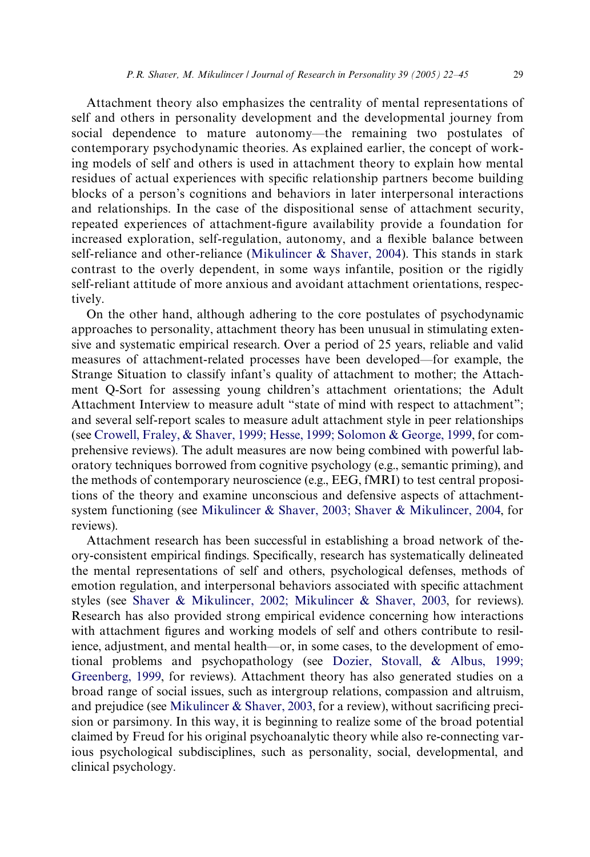Attachment theory also emphasizes the centrality of mental representations of self and others in personality development and the developmental journey from social dependence to mature autonomy—the remaining two postulates of contemporary psychodynamic theories. As explained earlier, the concept of working models of self and others is used in attachment theory to explain how mental residues of actual experiences with specific relationship partners become building blocks of a person's cognitions and behaviors in later interpersonal interactions and relationships. In the case of the dispositional sense of attachment security, repeated experiences of attachment-figure availability provide a foundation for increased exploration, self-regulation, autonomy, and a flexible balance between self-reliance and other-reliance [\(Mikulincer & Shaver, 2004\)](#page-22-7). This stands in stark contrast to the overly dependent, in some ways infantile, position or the rigidly self-reliant attitude of more anxious and avoidant attachment orientations, respectively.

On the other hand, although adhering to the core postulates of psychodynamic approaches to personality, attachment theory has been unusual in stimulating extensive and systematic empirical research. Over a period of 25 years, reliable and valid measures of attachment-related processes have been developed—for example, the Strange Situation to classify infant's quality of attachment to mother; the Attachment Q-Sort for assessing young children's attachment orientations; the Adult Attachment Interview to measure adult "state of mind with respect to attachment"; and several self-report scales to measure adult attachment style in peer relationships (see [Crowell, Fraley, & Shaver, 1999; Hesse, 1999; Solomon & George, 1999,](#page-21-12) for comprehensive reviews). The adult measures are now being combined with powerful laboratory techniques borrowed from cognitive psychology (e.g., semantic priming), and the methods of contemporary neuroscience (e.g., EEG, fMRI) to test central propositions of the theory and examine unconscious and defensive aspects of attachmentsystem functioning (see [Mikulincer & Shaver, 2003; Shaver & Mikulincer, 2004](#page-22-4), for reviews).

Attachment research has been successful in establishing a broad network of theory-consistent empirical findings. Specifically, research has systematically delineated the mental representations of self and others, psychological defenses, methods of emotion regulation, and interpersonal behaviors associated with specific attachment styles (see [Shaver & Mikulincer, 2002; Mikulincer & Shaver, 2003](#page-22-6), for reviews). Research has also provided strong empirical evidence concerning how interactions with attachment figures and working models of self and others contribute to resilience, adjustment, and mental health—or, in some cases, to the development of emotional problems and psychopathology (see [Dozier, Stovall, & Albus, 1999;](#page-21-13) [Greenberg, 1999,](#page-21-13) for reviews). Attachment theory has also generated studies on a broad range of social issues, such as intergroup relations, compassion and altruism, and prejudice (see [Mikulincer & Shaver, 2003](#page-22-4), for a review), without sacrificing precision or parsimony. In this way, it is beginning to realize some of the broad potential claimed by Freud for his original psychoanalytic theory while also re-connecting various psychological subdisciplines, such as personality, social, developmental, and clinical psychology.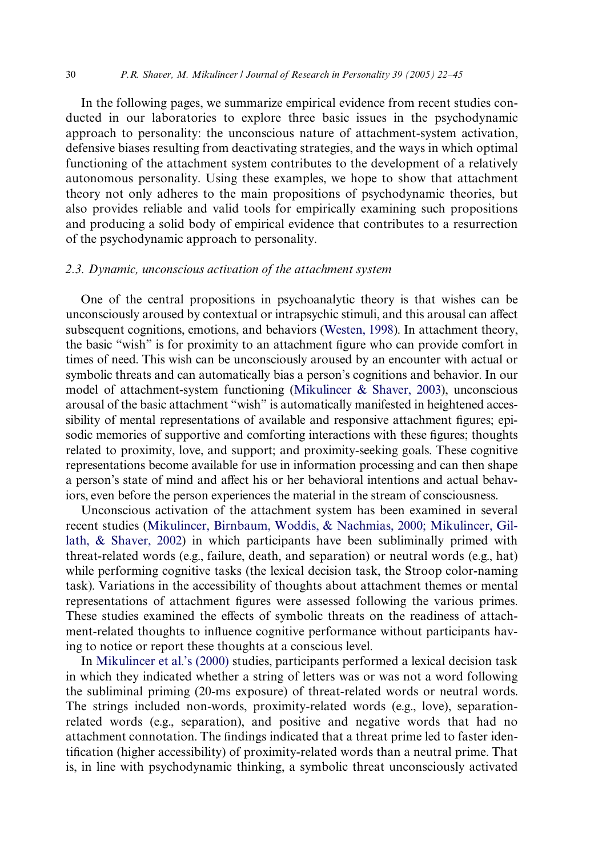In the following pages, we summarize empirical evidence from recent studies conducted in our laboratories to explore three basic issues in the psychodynamic approach to personality: the unconscious nature of attachment-system activation, defensive biases resulting from deactivating strategies, and the ways in which optimal functioning of the attachment system contributes to the development of a relatively autonomous personality. Using these examples, we hope to show that attachment theory not only adheres to the main propositions of psychodynamic theories, but also provides reliable and valid tools for empirically examining such propositions and producing a solid body of empirical evidence that contributes to a resurrection of the psychodynamic approach to personality.

### *2.3. Dynamic, unconscious activation of the attachment system*

One of the central propositions in psychoanalytic theory is that wishes can be unconsciously aroused by contextual or intrapsychic stimuli, and this arousal can affect subsequent cognitions, emotions, and behaviors [\(Westen, 1998](#page-23-2)). In attachment theory, the basic "wish" is for proximity to an attachment figure who can provide comfort in times of need. This wish can be unconsciously aroused by an encounter with actual or symbolic threats and can automatically bias a person's cognitions and behavior. In our model of attachment-system functioning [\(Mikulincer & Shaver, 2003](#page-22-4)), unconscious arousal of the basic attachment "wish" is automatically manifested in heightened accessibility of mental representations of available and responsive attachment figures; episodic memories of supportive and comforting interactions with these figures; thoughts related to proximity, love, and support; and proximity-seeking goals. These cognitive representations become available for use in information processing and can then shape a person's state of mind and affect his or her behavioral intentions and actual behaviors, even before the person experiences the material in the stream of consciousness.

Unconscious activation of the attachment system has been examined in several recent studies ([Mikulincer, Birnbaum, Woddis, & Nachmias, 2000; Mikulincer, Gil](#page-22-8)[lath, & Shaver, 2002](#page-22-8)) in which participants have been subliminally primed with threat-related words (e.g., failure, death, and separation) or neutral words (e.g., hat) while performing cognitive tasks (the lexical decision task, the Stroop color-naming task). Variations in the accessibility of thoughts about attachment themes or mental representations of attachment figures were assessed following the various primes. These studies examined the effects of symbolic threats on the readiness of attachment-related thoughts to influence cognitive performance without participants having to notice or report these thoughts at a conscious level.

In [Mikulincer et al.'s \(2000\)](#page-22-8) studies, participants performed a lexical decision task in which they indicated whether a string of letters was or was not a word following the subliminal priming (20-ms exposure) of threat-related words or neutral words. The strings included non-words, proximity-related words (e.g., love), separationrelated words (e.g., separation), and positive and negative words that had no attachment connotation. The findings indicated that a threat prime led to faster identification (higher accessibility) of proximity-related words than a neutral prime. That is, in line with psychodynamic thinking, a symbolic threat unconsciously activated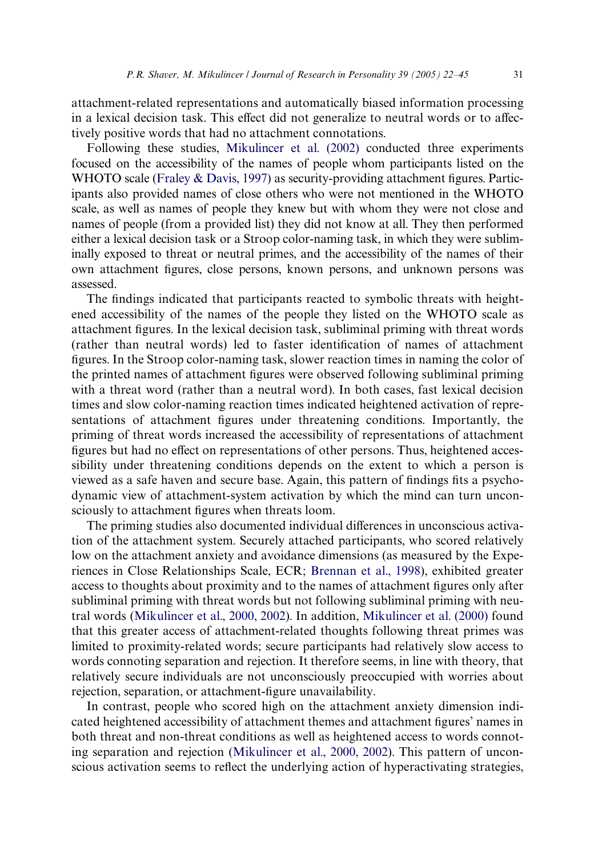attachment-related representations and automatically biased information processing in a lexical decision task. This effect did not generalize to neutral words or to affectively positive words that had no attachment connotations.

Following these studies, [Mikulincer et al. \(2002\)](#page-22-9) conducted three experiments focused on the accessibility of the names of people whom participants listed on the WHOTO scale [\(Fraley & Davis, 1997](#page-21-14)) as security-providing attachment figures. Participants also provided names of close others who were not mentioned in the WHOTO scale, as well as names of people they knew but with whom they were not close and names of people (from a provided list) they did not know at all. They then performed either a lexical decision task or a Stroop color-naming task, in which they were subliminally exposed to threat or neutral primes, and the accessibility of the names of their own attachment figures, close persons, known persons, and unknown persons was assessed.

The findings indicated that participants reacted to symbolic threats with heightened accessibility of the names of the people they listed on the WHOTO scale as attachment figures. In the lexical decision task, subliminal priming with threat words (rather than neutral words) led to faster identification of names of attachment figures. In the Stroop color-naming task, slower reaction times in naming the color of the printed names of attachment figures were observed following subliminal priming with a threat word (rather than a neutral word). In both cases, fast lexical decision times and slow color-naming reaction times indicated heightened activation of representations of attachment figures under threatening conditions. Importantly, the priming of threat words increased the accessibility of representations of attachment figures but had no effect on representations of other persons. Thus, heightened accessibility under threatening conditions depends on the extent to which a person is viewed as a safe haven and secure base. Again, this pattern of findings fits a psychodynamic view of attachment-system activation by which the mind can turn unconsciously to attachment figures when threats loom.

The priming studies also documented individual differences in unconscious activation of the attachment system. Securely attached participants, who scored relatively low on the attachment anxiety and avoidance dimensions (as measured by the Experiences in Close Relationships Scale, ECR; [Brennan et al., 1998\)](#page-21-15), exhibited greater access to thoughts about proximity and to the names of attachment figures only after subliminal priming with threat words but not following subliminal priming with neutral words [\(Mikulincer et al., 2000, 2002\)](#page-22-8). In addition, [Mikulincer et al. \(2000\)](#page-22-8) found that this greater access of attachment-related thoughts following threat primes was limited to proximity-related words; secure participants had relatively slow access to words connoting separation and rejection. It therefore seems, in line with theory, that relatively secure individuals are not unconsciously preoccupied with worries about rejection, separation, or attachment-figure unavailability.

In contrast, people who scored high on the attachment anxiety dimension indicated heightened accessibility of attachment themes and attachment figures' names in both threat and non-threat conditions as well as heightened access to words connoting separation and rejection ([Mikulincer et al., 2000, 2002\)](#page-22-8). This pattern of unconscious activation seems to reflect the underlying action of hyperactivating strategies,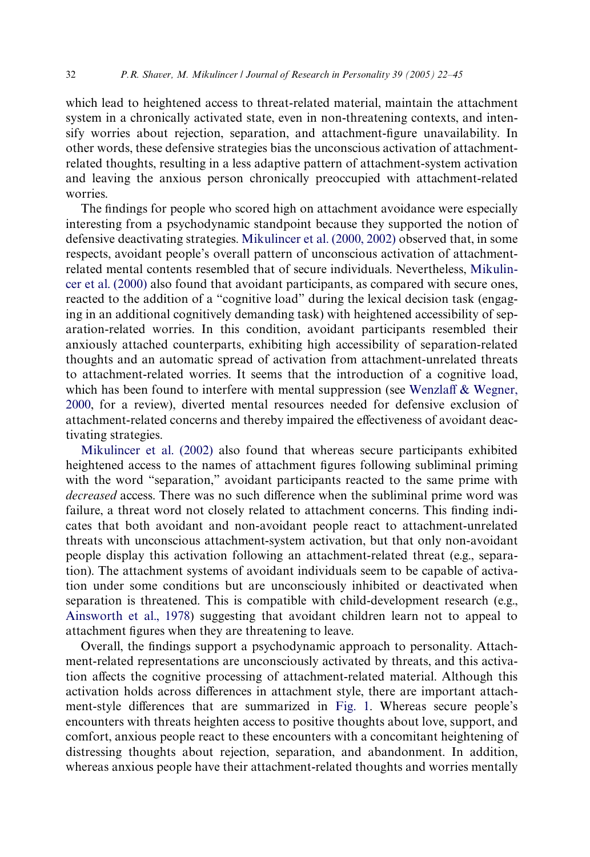which lead to heightened access to threat-related material, maintain the attachment system in a chronically activated state, even in non-threatening contexts, and intensify worries about rejection, separation, and attachment-figure unavailability. In other words, these defensive strategies bias the unconscious activation of attachmentrelated thoughts, resulting in a less adaptive pattern of attachment-system activation and leaving the anxious person chronically preoccupied with attachment-related worries.

The findings for people who scored high on attachment avoidance were especially interesting from a psychodynamic standpoint because they supported the notion of defensive deactivating strategies. [Mikulincer et al. \(2000, 2002\)](#page-22-8) observed that, in some respects, avoidant people's overall pattern of unconscious activation of attachmentrelated mental contents resembled that of secure individuals. Nevertheless, [Mikulin](#page-22-8)[cer et al. \(2000\)](#page-22-8) also found that avoidant participants, as compared with secure ones, reacted to the addition of a "cognitive load" during the lexical decision task (engaging in an additional cognitively demanding task) with heightened accessibility of separation-related worries. In this condition, avoidant participants resembled their anxiously attached counterparts, exhibiting high accessibility of separation-related thoughts and an automatic spread of activation from attachment-unrelated threats to attachment-related worries. It seems that the introduction of a cognitive load, which has been found to interfere with mental suppression (see [Wenzla](#page-23-3)ff  $&$  Wegner, [2000](#page-23-3), for a review), diverted mental resources needed for defensive exclusion of attachment-related concerns and thereby impaired the effectiveness of avoidant deactivating strategies.

[Mikulincer et al. \(2002\)](#page-22-9) also found that whereas secure participants exhibited heightened access to the names of attachment figures following subliminal priming with the word "separation," avoidant participants reacted to the same prime with *decreased* access. There was no such difference when the subliminal prime word was failure, a threat word not closely related to attachment concerns. This finding indicates that both avoidant and non-avoidant people react to attachment-unrelated threats with unconscious attachment-system activation, but that only non-avoidant people display this activation following an attachment-related threat (e.g., separation). The attachment systems of avoidant individuals seem to be capable of activation under some conditions but are unconsciously inhibited or deactivated when separation is threatened. This is compatible with child-development research (e.g., [Ainsworth et al., 1978\)](#page-20-9) suggesting that avoidant children learn not to appeal to attachment figures when they are threatening to leave.

Overall, the findings support a psychodynamic approach to personality. Attachment-related representations are unconsciously activated by threats, and this activation affects the cognitive processing of attachment-related material. Although this activation holds across differences in attachment style, there are important attach-ment-style differences that are summarized in [Fig. 1.](#page-11-0) Whereas secure people's encounters with threats heighten access to positive thoughts about love, support, and comfort, anxious people react to these encounters with a concomitant heightening of distressing thoughts about rejection, separation, and abandonment. In addition, whereas anxious people have their attachment-related thoughts and worries mentally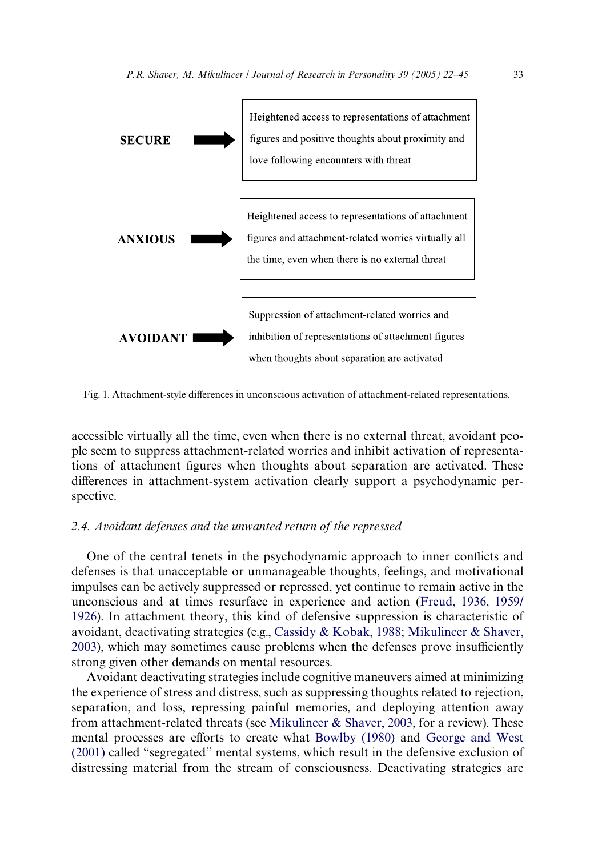

<span id="page-11-0"></span>Fig. 1. Attachment-style differences in unconscious activation of attachment-related representations.

accessible virtually all the time, even when there is no external threat, avoidant people seem to suppress attachment-related worries and inhibit activation of representations of attachment figures when thoughts about separation are activated. These differences in attachment-system activation clearly support a psychodynamic perspective.

#### *2.4. Avoidant defenses and the unwanted return of the repressed*

One of the central tenets in the psychodynamic approach to inner conflicts and defenses is that unacceptable or unmanageable thoughts, feelings, and motivational impulses can be actively suppressed or repressed, yet continue to remain active in the unconscious and at times resurface in experience and action [\(Freud, 1936, 1959/](#page-21-16) [1926\)](#page-21-16). In attachment theory, this kind of defensive suppression is characteristic of avoidant, deactivating strategies (e.g., [Cassidy & Kobak, 1988; Mikulincer & Shaver,](#page-21-9) [2003\)](#page-21-9), which may sometimes cause problems when the defenses prove insufficiently strong given other demands on mental resources.

Avoidant deactivating strategies include cognitive maneuvers aimed at minimizing the experience of stress and distress, such as suppressing thoughts related to rejection, separation, and loss, repressing painful memories, and deploying attention away from attachment-related threats (see Mikulincer  $&$  Shaver, 2003, for a review). These mental processes are efforts to create what [Bowlby \(1980\)](#page-20-11) and [George and West](#page-21-17) [\(2001\)](#page-21-17) called "segregated" mental systems, which result in the defensive exclusion of distressing material from the stream of consciousness. Deactivating strategies are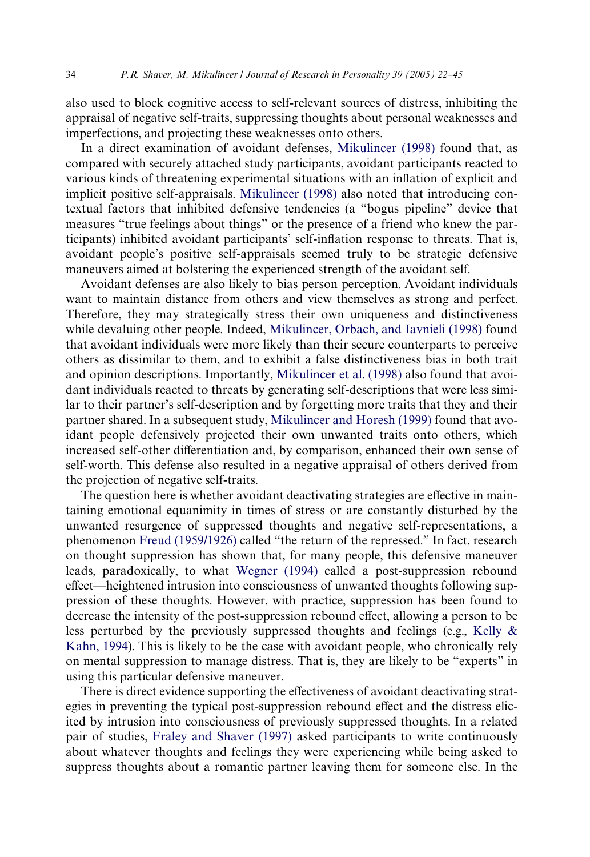also used to block cognitive access to self-relevant sources of distress, inhibiting the appraisal of negative self-traits, suppressing thoughts about personal weaknesses and imperfections, and projecting these weaknesses onto others.

In a direct examination of avoidant defenses, [Mikulincer \(1998\)](#page-22-10) found that, as compared with securely attached study participants, avoidant participants reacted to various kinds of threatening experimental situations with an inflation of explicit and implicit positive self-appraisals. [Mikulincer \(1998\)](#page-22-10) also noted that introducing contextual factors that inhibited defensive tendencies (a "bogus pipeline" device that measures "true feelings about things" or the presence of a friend who knew the participants) inhibited avoidant participants' self-inflation response to threats. That is, avoidant people's positive self-appraisals seemed truly to be strategic defensive maneuvers aimed at bolstering the experienced strength of the avoidant self.

Avoidant defenses are also likely to bias person perception. Avoidant individuals want to maintain distance from others and view themselves as strong and perfect. Therefore, they may strategically stress their own uniqueness and distinctiveness while devaluing other people. Indeed, [Mikulincer, Orbach, and Iavnieli \(1998\)](#page-22-11) found that avoidant individuals were more likely than their secure counterparts to perceive others as dissimilar to them, and to exhibit a false distinctiveness bias in both trait and opinion descriptions. Importantly, [Mikulincer et al. \(1998\)](#page-22-11) also found that avoidant individuals reacted to threats by generating self-descriptions that were less similar to their partner's self-description and by forgetting more traits that they and their partner shared. In a subsequent study, [Mikulincer and Horesh \(1999\)](#page-22-12) found that avoidant people defensively projected their own unwanted traits onto others, which increased self-other differentiation and, by comparison, enhanced their own sense of self-worth. This defense also resulted in a negative appraisal of others derived from the projection of negative self-traits.

The question here is whether avoidant deactivating strategies are effective in maintaining emotional equanimity in times of stress or are constantly disturbed by the unwanted resurgence of suppressed thoughts and negative self-representations, a phenomenon [Freud \(1959/1926\)](#page-21-18) called "the return of the repressed." In fact, research on thought suppression has shown that, for many people, this defensive maneuver leads, paradoxically, to what [Wegner \(1994\)](#page-23-0) called a post-suppression rebound effect—heightened intrusion into consciousness of unwanted thoughts following suppression of these thoughts. However, with practice, suppression has been found to decrease the intensity of the post-suppression rebound effect, allowing a person to be less perturbed by the previously suppressed thoughts and feelings (e.g., [Kelly &](#page-21-19) [Kahn, 1994\)](#page-21-19). This is likely to be the case with avoidant people, who chronically rely on mental suppression to manage distress. That is, they are likely to be "experts" in using this particular defensive maneuver.

There is direct evidence supporting the effectiveness of avoidant deactivating strategies in preventing the typical post-suppression rebound effect and the distress elicited by intrusion into consciousness of previously suppressed thoughts. In a related pair of studies, [Fraley and Shaver \(1997\)](#page-21-20) asked participants to write continuously about whatever thoughts and feelings they were experiencing while being asked to suppress thoughts about a romantic partner leaving them for someone else. In the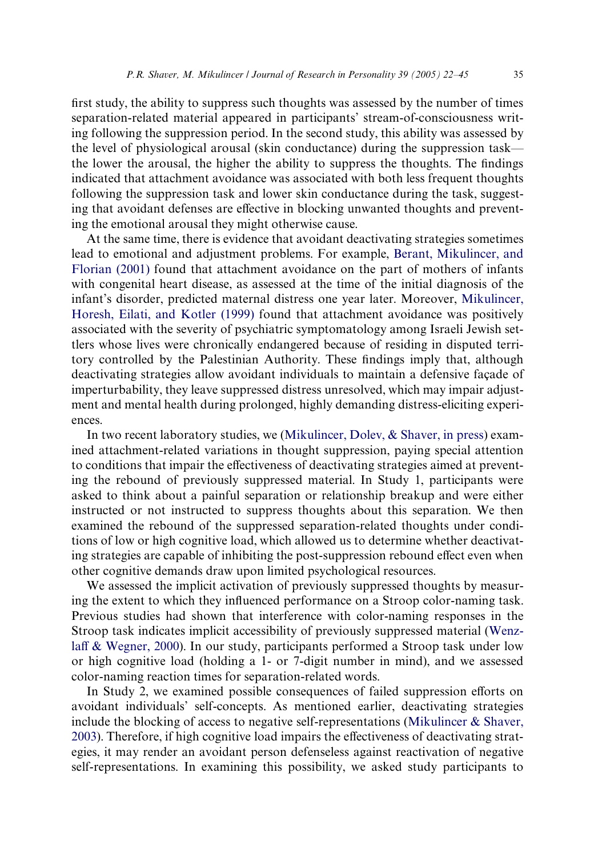first study, the ability to suppress such thoughts was assessed by the number of times separation-related material appeared in participants' stream-of-consciousness writing following the suppression period. In the second study, this ability was assessed by the level of physiological arousal (skin conductance) during the suppression task the lower the arousal, the higher the ability to suppress the thoughts. The findings indicated that attachment avoidance was associated with both less frequent thoughts following the suppression task and lower skin conductance during the task, suggesting that avoidant defenses are effective in blocking unwanted thoughts and preventing the emotional arousal they might otherwise cause.

At the same time, there is evidence that avoidant deactivating strategies sometimes lead to emotional and adjustment problems. For example, [Berant, Mikulincer, and](#page-20-12) [Florian \(2001\)](#page-20-12) found that attachment avoidance on the part of mothers of infants with congenital heart disease, as assessed at the time of the initial diagnosis of the infant's disorder, predicted maternal distress one year later. Moreover, [Mikulincer,](#page-22-13) [Horesh, Eilati, and Kotler \(1999\)](#page-22-13) found that attachment avoidance was positively associated with the severity of psychiatric symptomatology among Israeli Jewish settlers whose lives were chronically endangered because of residing in disputed territory controlled by the Palestinian Authority. These findings imply that, although deactivating strategies allow avoidant individuals to maintain a defensive façade of imperturbability, they leave suppressed distress unresolved, which may impair adjustment and mental health during prolonged, highly demanding distress-eliciting experiences.

In two recent laboratory studies, we ([Mikulincer, Dolev, & Shaver, in press\)](#page-22-14) examined attachment-related variations in thought suppression, paying special attention to conditions that impair the effectiveness of deactivating strategies aimed at preventing the rebound of previously suppressed material. In Study 1, participants were asked to think about a painful separation or relationship breakup and were either instructed or not instructed to suppress thoughts about this separation. We then examined the rebound of the suppressed separation-related thoughts under conditions of low or high cognitive load, which allowed us to determine whether deactivating strategies are capable of inhibiting the post-suppression rebound effect even when other cognitive demands draw upon limited psychological resources.

We assessed the implicit activation of previously suppressed thoughts by measuring the extent to which they influenced performance on a Stroop color-naming task. Previous studies had shown that interference with color-naming responses in the Stroop task indicates implicit accessibility of previously suppressed material [\(Wenz](#page-23-3)[la](#page-23-3)ff  $&$  Wegner, 2000). In our study, participants performed a Stroop task under low or high cognitive load (holding a 1- or 7-digit number in mind), and we assessed color-naming reaction times for separation-related words.

In Study 2, we examined possible consequences of failed suppression efforts on avoidant individuals' self-concepts. As mentioned earlier, deactivating strategies include the blocking of access to negative self-representations ([Mikulincer & Shaver,](#page-22-4) [2003\)](#page-22-4). Therefore, if high cognitive load impairs the effectiveness of deactivating strategies, it may render an avoidant person defenseless against reactivation of negative self-representations. In examining this possibility, we asked study participants to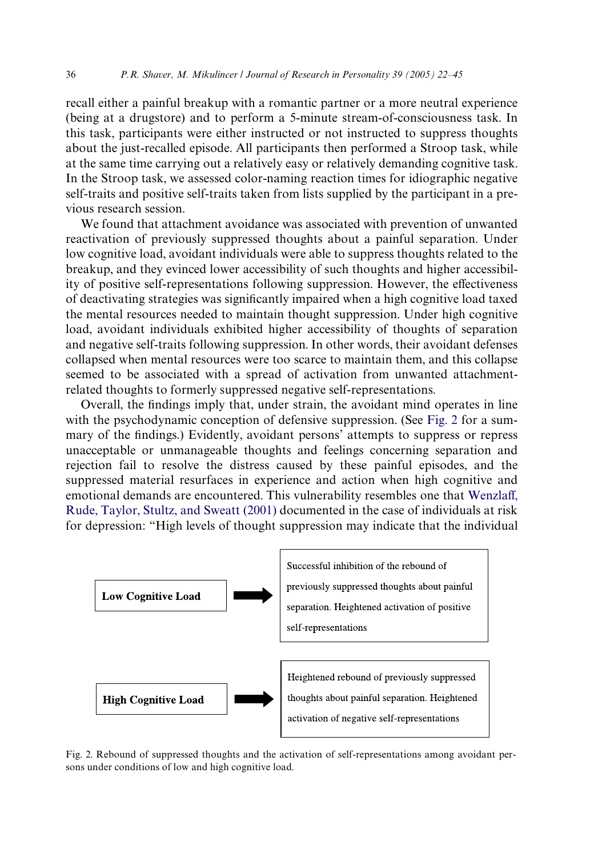recall either a painful breakup with a romantic partner or a more neutral experience (being at a drugstore) and to perform a 5-minute stream-of-consciousness task. In this task, participants were either instructed or not instructed to suppress thoughts about the just-recalled episode. All participants then performed a Stroop task, while at the same time carrying out a relatively easy or relatively demanding cognitive task. In the Stroop task, we assessed color-naming reaction times for idiographic negative self-traits and positive self-traits taken from lists supplied by the participant in a previous research session.

We found that attachment avoidance was associated with prevention of unwanted reactivation of previously suppressed thoughts about a painful separation. Under low cognitive load, avoidant individuals were able to suppress thoughts related to the breakup, and they evinced lower accessibility of such thoughts and higher accessibility of positive self-representations following suppression. However, the effectiveness of deactivating strategies was significantly impaired when a high cognitive load taxed the mental resources needed to maintain thought suppression. Under high cognitive load, avoidant individuals exhibited higher accessibility of thoughts of separation and negative self-traits following suppression. In other words, their avoidant defenses collapsed when mental resources were too scarce to maintain them, and this collapse seemed to be associated with a spread of activation from unwanted attachmentrelated thoughts to formerly suppressed negative self-representations.

Overall, the findings imply that, under strain, the avoidant mind operates in line with the psychodynamic conception of defensive suppression. (See [Fig. 2](#page-14-0) for a summary of the findings.) Evidently, avoidant persons' attempts to suppress or repress unacceptable or unmanageable thoughts and feelings concerning separation and rejection fail to resolve the distress caused by these painful episodes, and the suppressed material resurfaces in experience and action when high cognitive and emotional demands are encountered. This vulnerability resembles one that [Wenzla](#page-23-4)ff[,](#page-23-4) [Rude, Taylor, Stultz, and Sweatt \(2001\)](#page-23-4) documented in the case of individuals at risk for depression: "High levels of thought suppression may indicate that the individual



<span id="page-14-0"></span>Fig. 2. Rebound of suppressed thoughts and the activation of self-representations among avoidant persons under conditions of low and high cognitive load.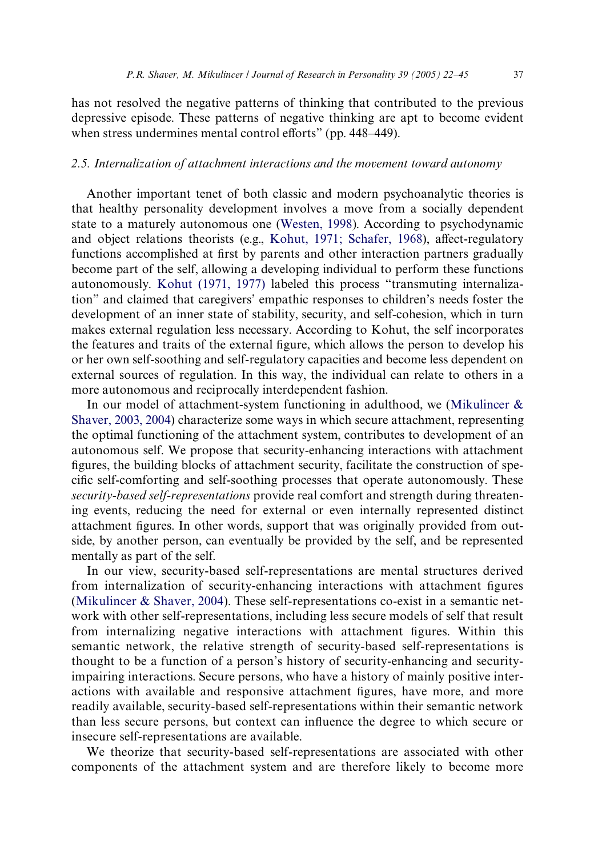has not resolved the negative patterns of thinking that contributed to the previous depressive episode. These patterns of negative thinking are apt to become evident when stress undermines mental control efforts" (pp. 448–449).

#### *2.5. Internalization of attachment interactions and the movement toward autonomy*

Another important tenet of both classic and modern psychoanalytic theories is that healthy personality development involves a move from a socially dependent state to a maturely autonomous one [\(Westen, 1998\)](#page-23-2). According to psychodynamic and object relations theorists (e.g., [Kohut, 1971; Schafer, 1968](#page-22-3)), affect-regulatory functions accomplished at first by parents and other interaction partners gradually become part of the self, allowing a developing individual to perform these functions autonomously. [Kohut \(1971, 1977\)](#page-22-3) labeled this process "transmuting internalization" and claimed that caregivers' empathic responses to children's needs foster the development of an inner state of stability, security, and self-cohesion, which in turn makes external regulation less necessary. According to Kohut, the self incorporates the features and traits of the external figure, which allows the person to develop his or her own self-soothing and self-regulatory capacities and become less dependent on external sources of regulation. In this way, the individual can relate to others in a more autonomous and reciprocally interdependent fashion.

In our model of attachment-system functioning in adulthood, we (Mikulincer  $\&$ [Shaver, 2003, 2004](#page-22-4)) characterize some ways in which secure attachment, representing the optimal functioning of the attachment system, contributes to development of an autonomous self. We propose that security-enhancing interactions with attachment figures, the building blocks of attachment security, facilitate the construction of specific self-comforting and self-soothing processes that operate autonomously. These *security-based self-representations* provide real comfort and strength during threatening events, reducing the need for external or even internally represented distinct attachment figures. In other words, support that was originally provided from outside, by another person, can eventually be provided by the self, and be represented mentally as part of the self.

In our view, security-based self-representations are mental structures derived from internalization of security-enhancing interactions with attachment figures [\(Mikulincer & Shaver, 2004\)](#page-22-7). These self-representations co-exist in a semantic network with other self-representations, including less secure models of self that result from internalizing negative interactions with attachment figures. Within this semantic network, the relative strength of security-based self-representations is thought to be a function of a person's history of security-enhancing and securityimpairing interactions. Secure persons, who have a history of mainly positive interactions with available and responsive attachment figures, have more, and more readily available, security-based self-representations within their semantic network than less secure persons, but context can influence the degree to which secure or insecure self-representations are available.

We theorize that security-based self-representations are associated with other components of the attachment system and are therefore likely to become more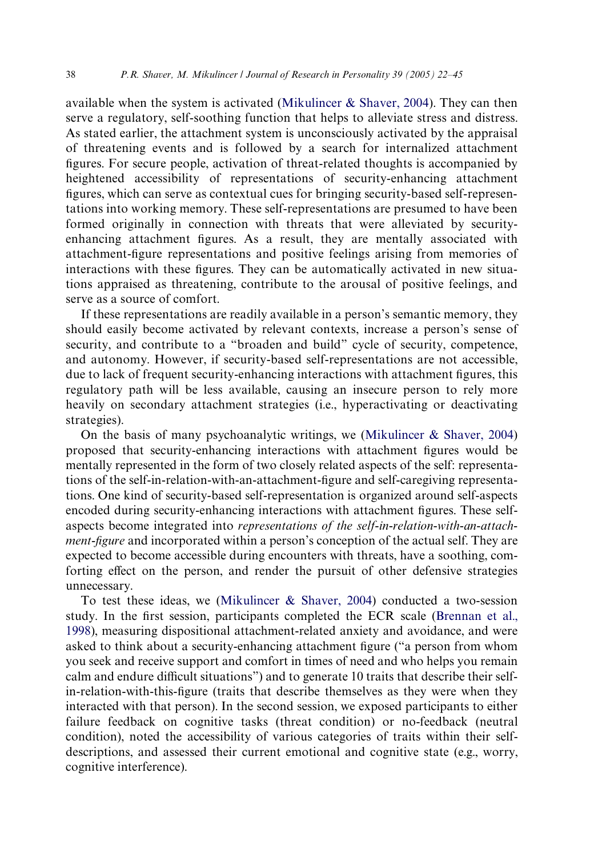available when the system is activated ([Mikulincer & Shaver, 2004\)](#page-22-7). They can then serve a regulatory, self-soothing function that helps to alleviate stress and distress. As stated earlier, the attachment system is unconsciously activated by the appraisal of threatening events and is followed by a search for internalized attachment figures. For secure people, activation of threat-related thoughts is accompanied by heightened accessibility of representations of security-enhancing attachment figures, which can serve as contextual cues for bringing security-based self-representations into working memory. These self-representations are presumed to have been formed originally in connection with threats that were alleviated by securityenhancing attachment figures. As a result, they are mentally associated with attachment-figure representations and positive feelings arising from memories of interactions with these figures. They can be automatically activated in new situations appraised as threatening, contribute to the arousal of positive feelings, and serve as a source of comfort.

If these representations are readily available in a person's semantic memory, they should easily become activated by relevant contexts, increase a person's sense of security, and contribute to a "broaden and build" cycle of security, competence, and autonomy. However, if security-based self-representations are not accessible, due to lack of frequent security-enhancing interactions with attachment figures, this regulatory path will be less available, causing an insecure person to rely more heavily on secondary attachment strategies (i.e., hyperactivating or deactivating strategies).

On the basis of many psychoanalytic writings, we (Mikulincer  $&$  Shaver, 2004) proposed that security-enhancing interactions with attachment figures would be mentally represented in the form of two closely related aspects of the self: representations of the self-in-relation-with-an-attachment-figure and self-caregiving representations. One kind of security-based self-representation is organized around self-aspects encoded during security-enhancing interactions with attachment figures. These selfaspects become integrated into *representations of the self-in-relation-with-an-attachment-figure* and incorporated within a person's conception of the actual self. They are expected to become accessible during encounters with threats, have a soothing, comforting effect on the person, and render the pursuit of other defensive strategies unnecessary.

To test these ideas, we ([Mikulincer & Shaver, 2004](#page-22-7)) conducted a two-session study. In the first session, participants completed the ECR scale [\(Brennan et al.,](#page-21-15) [1998](#page-21-15)), measuring dispositional attachment-related anxiety and avoidance, and were asked to think about a security-enhancing attachment figure ("a person from whom you seek and receive support and comfort in times of need and who helps you remain calm and endure difficult situations") and to generate 10 traits that describe their selfin-relation-with-this-figure (traits that describe themselves as they were when they interacted with that person). In the second session, we exposed participants to either failure feedback on cognitive tasks (threat condition) or no-feedback (neutral condition), noted the accessibility of various categories of traits within their selfdescriptions, and assessed their current emotional and cognitive state (e.g., worry, cognitive interference).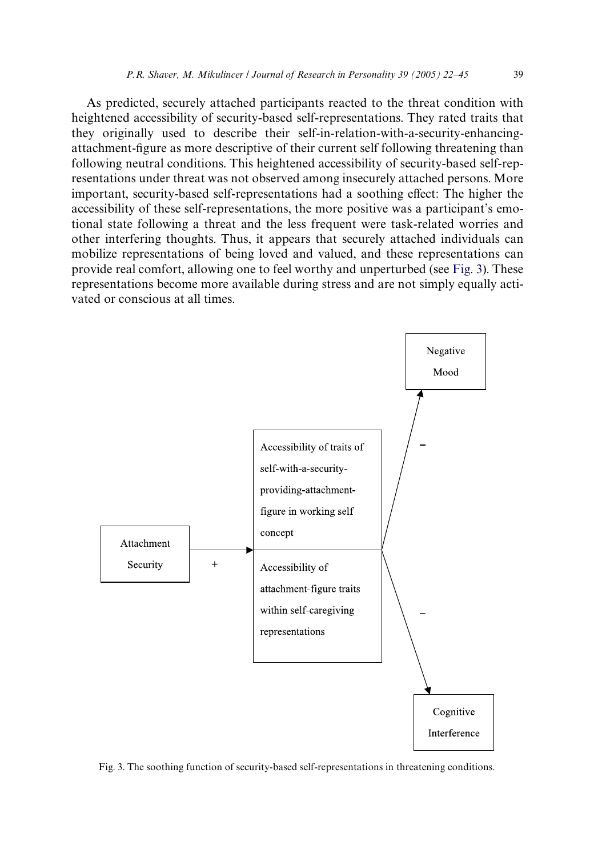As predicted, securely attached participants reacted to the threat condition with heightened accessibility of security-based self-representations. They rated traits that they originally used to describe their self-in-relation-with-a-security-enhancingattachment-figure as more descriptive of their current self following threatening than following neutral conditions. This heightened accessibility of security-based self-representations under threat was not observed among insecurely attached persons. More important, security-based self-representations had a soothing effect: The higher the accessibility of these self-representations, the more positive was a participant's emotional state following a threat and the less frequent were task-related worries and other interfering thoughts. Thus, it appears that securely attached individuals can mobilize representations of being loved and valued, and these representations can provide real comfort, allowing one to feel worthy and unperturbed (see [Fig. 3\)](#page-17-0). These representations become more available during stress and are not simply equally activated or conscious at all times.



<span id="page-17-0"></span>Fig. 3. The soothing function of security-based self-representations in threatening conditions.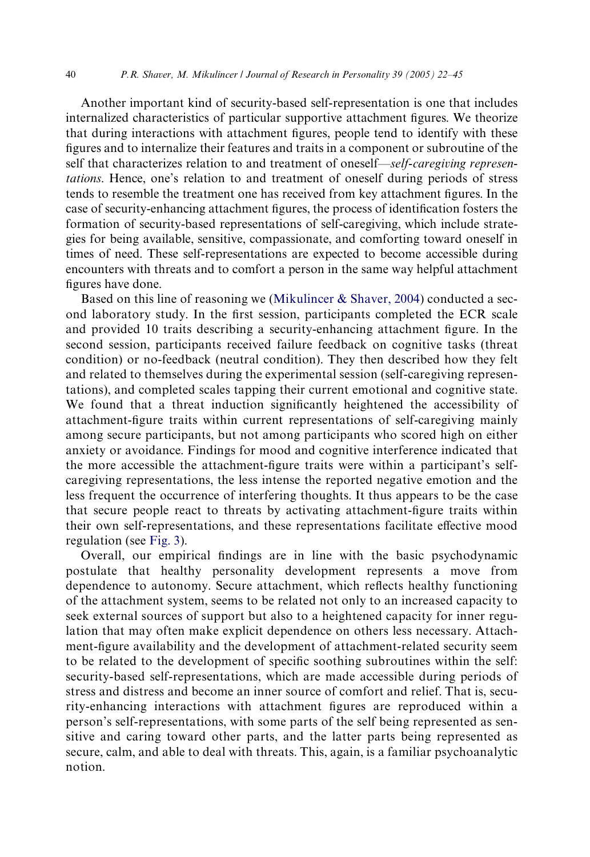Another important kind of security-based self-representation is one that includes internalized characteristics of particular supportive attachment figures. We theorize that during interactions with attachment figures, people tend to identify with these figures and to internalize their features and traits in a component or subroutine of the self that characterizes relation to and treatment of oneself—*self-caregiving representations*. Hence, one's relation to and treatment of oneself during periods of stress tends to resemble the treatment one has received from key attachment figures. In the case of security-enhancing attachment figures, the process of identification fosters the formation of security-based representations of self-caregiving, which include strategies for being available, sensitive, compassionate, and comforting toward oneself in times of need. These self-representations are expected to become accessible during encounters with threats and to comfort a person in the same way helpful attachment figures have done.

Based on this line of reasoning we ([Mikulincer & Shaver, 2004](#page-22-7)) conducted a second laboratory study. In the first session, participants completed the ECR scale and provided 10 traits describing a security-enhancing attachment figure. In the second session, participants received failure feedback on cognitive tasks (threat condition) or no-feedback (neutral condition). They then described how they felt and related to themselves during the experimental session (self-caregiving representations), and completed scales tapping their current emotional and cognitive state. We found that a threat induction significantly heightened the accessibility of attachment-figure traits within current representations of self-caregiving mainly among secure participants, but not among participants who scored high on either anxiety or avoidance. Findings for mood and cognitive interference indicated that the more accessible the attachment-figure traits were within a participant's selfcaregiving representations, the less intense the reported negative emotion and the less frequent the occurrence of interfering thoughts. It thus appears to be the case that secure people react to threats by activating attachment-figure traits within their own self-representations, and these representations facilitate effective mood regulation (see [Fig. 3](#page-17-0)).

Overall, our empirical findings are in line with the basic psychodynamic postulate that healthy personality development represents a move from dependence to autonomy. Secure attachment, which reflects healthy functioning of the attachment system, seems to be related not only to an increased capacity to seek external sources of support but also to a heightened capacity for inner regulation that may often make explicit dependence on others less necessary. Attachment-figure availability and the development of attachment-related security seem to be related to the development of specific soothing subroutines within the self: security-based self-representations, which are made accessible during periods of stress and distress and become an inner source of comfort and relief. That is, security-enhancing interactions with attachment figures are reproduced within a person's self-representations, with some parts of the self being represented as sensitive and caring toward other parts, and the latter parts being represented as secure, calm, and able to deal with threats. This, again, is a familiar psychoanalytic notion.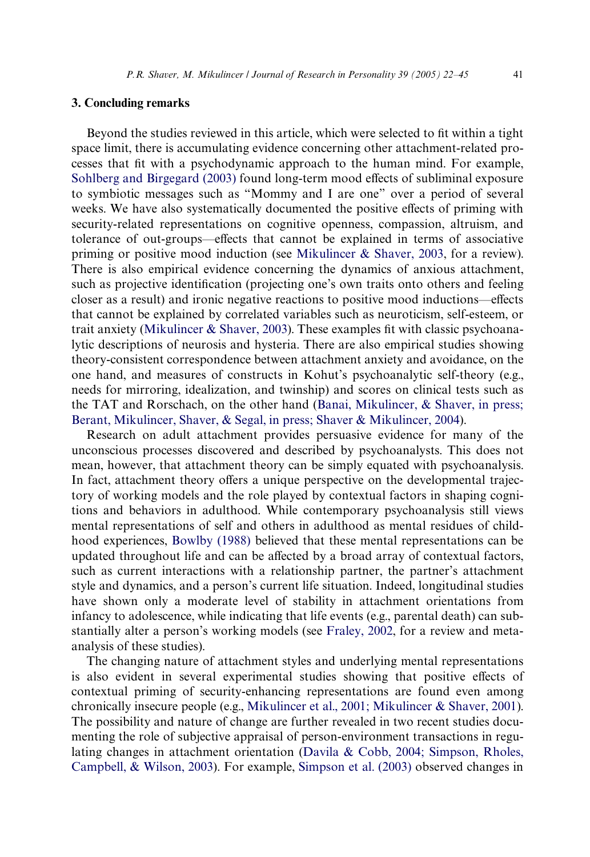#### **3. Concluding remarks**

Beyond the studies reviewed in this article, which were selected to fit within a tight space limit, there is accumulating evidence concerning other attachment-related processes that fit with a psychodynamic approach to the human mind. For example, [Sohlberg and Birgegard \(2003\)](#page-23-5) found long-term mood effects of subliminal exposure to symbiotic messages such as "Mommy and I are one" over a period of several weeks. We have also systematically documented the positive effects of priming with security-related representations on cognitive openness, compassion, altruism, and tolerance of out-groups—effects that cannot be explained in terms of associative priming or positive mood induction (see [Mikulincer & Shaver, 2003](#page-22-4), for a review). There is also empirical evidence concerning the dynamics of anxious attachment, such as projective identification (projecting one's own traits onto others and feeling closer as a result) and ironic negative reactions to positive mood inductions—effects that cannot be explained by correlated variables such as neuroticism, self-esteem, or trait anxiety [\(Mikulincer & Shaver, 2003](#page-22-4)). These examples fit with classic psychoanalytic descriptions of neurosis and hysteria. There are also empirical studies showing theory-consistent correspondence between attachment anxiety and avoidance, on the one hand, and measures of constructs in Kohut's psychoanalytic self-theory (e.g., needs for mirroring, idealization, and twinship) and scores on clinical tests such as the TAT and Rorschach, on the other hand ([Banai, Mikulincer, & Shaver, in press;](#page-20-13) [Berant, Mikulincer, Shaver, & Segal, in press; Shaver & Mikulincer, 2004\)](#page-20-13).

Research on adult attachment provides persuasive evidence for many of the unconscious processes discovered and described by psychoanalysts. This does not mean, however, that attachment theory can be simply equated with psychoanalysis. In fact, attachment theory offers a unique perspective on the developmental trajectory of working models and the role played by contextual factors in shaping cognitions and behaviors in adulthood. While contemporary psychoanalysis still views mental representations of self and others in adulthood as mental residues of childhood experiences, [Bowlby \(1988\)](#page-21-10) believed that these mental representations can be updated throughout life and can be affected by a broad array of contextual factors, such as current interactions with a relationship partner, the partner's attachment style and dynamics, and a person's current life situation. Indeed, longitudinal studies have shown only a moderate level of stability in attachment orientations from infancy to adolescence, while indicating that life events (e.g., parental death) can substantially alter a person's working models (see [Fraley, 2002,](#page-21-11) for a review and metaanalysis of these studies).

The changing nature of attachment styles and underlying mental representations is also evident in several experimental studies showing that positive effects of contextual priming of security-enhancing representations are found even among chronically insecure people (e.g., [Mikulincer et al., 2001; Mikulincer & Shaver, 2001](#page-22-15)). The possibility and nature of change are further revealed in two recent studies documenting the role of subjective appraisal of person-environment transactions in regulating changes in attachment orientation [\(Davila & Cobb, 2004; Simpson, Rholes,](#page-21-21) [Campbell, & Wilson, 2003](#page-21-21)). For example, [Simpson et al. \(2003\)](#page-23-6) observed changes in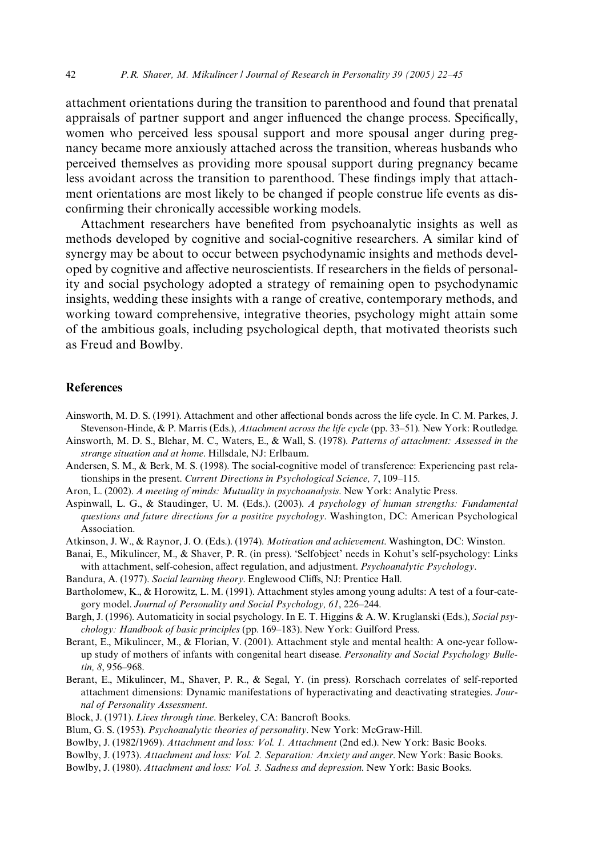attachment orientations during the transition to parenthood and found that prenatal appraisals of partner support and anger influenced the change process. Specifically, women who perceived less spousal support and more spousal anger during pregnancy became more anxiously attached across the transition, whereas husbands who perceived themselves as providing more spousal support during pregnancy became less avoidant across the transition to parenthood. These findings imply that attachment orientations are most likely to be changed if people construe life events as disconfirming their chronically accessible working models.

Attachment researchers have benefited from psychoanalytic insights as well as methods developed by cognitive and social-cognitive researchers. A similar kind of synergy may be about to occur between psychodynamic insights and methods developed by cognitive and affective neuroscientists. If researchers in the fields of personality and social psychology adopted a strategy of remaining open to psychodynamic insights, wedding these insights with a range of creative, contemporary methods, and working toward comprehensive, integrative theories, psychology might attain some of the ambitious goals, including psychological depth, that motivated theorists such as Freud and Bowlby.

#### **References**

- <span id="page-20-7"></span>Ainsworth, M. D. S. (1991). Attachment and other affectional bonds across the life cycle. In C. M. Parkes, J. Stevenson-Hinde, & P. Marris (Eds.), *Attachment across the life cycle* (pp. 33–51). New York: Routledge.
- <span id="page-20-9"></span>Ainsworth, M. D. S., Blehar, M. C., Waters, E., & Wall, S. (1978). *Patterns of attachment: Assessed in the strange situation and at home*. Hillsdale, NJ: Erlbaum.
- <span id="page-20-4"></span>Andersen, S. M., & Berk, M. S. (1998). The social-cognitive model of transference: Experiencing past relationships in the present. *Current Directions in Psychological Science, 7*, 109–115.
- <span id="page-20-5"></span>Aron, L. (2002). *A meeting of minds: Mutuality in psychoanalysis*. New York: Analytic Press.
- <span id="page-20-0"></span>Aspinwall, L. G., & Staudinger, U. M. (Eds.). (2003). *A psychology of human strengths: Fundamental questions and future directions for a positive psychology*. Washington, DC: American Psychological Association.
- <span id="page-20-2"></span>Atkinson, J. W., & Raynor, J. O. (Eds.). (1974). *Motivation and achievement*. Washington, DC: Winston.
- <span id="page-20-13"></span>Banai, E., Mikulincer, M., & Shaver, P. R. (in press). 'Selfobject' needs in Kohut's self-psychology: Links with attachment, self-cohesion, affect regulation, and adjustment. *Psychoanalytic Psychology*.
- Bandura, A. (1977). *Social learning theory*. Englewood Cliffs, NJ: Prentice Hall.
- <span id="page-20-10"></span>Bartholomew, K., & Horowitz, L. M. (1991). Attachment styles among young adults: A test of a four-category model. *Journal of Personality and Social Psychology, 61*, 226–244.
- <span id="page-20-3"></span>Bargh, J. (1996). Automaticity in social psychology. In E. T. Higgins & A. W. Kruglanski (Eds.), *Social psychology: Handbook of basic principles* (pp. 169–183). New York: Guilford Press.
- <span id="page-20-12"></span>Berant, E., Mikulincer, M., & Florian, V. (2001). Attachment style and mental health: A one-year followup study of mothers of infants with congenital heart disease. *Personality and Social Psychology Bulletin, 8*, 956–968.
- Berant, E., Mikulincer, M., Shaver, P. R., & Segal, Y. (in press). Rorschach correlates of self-reported attachment dimensions: Dynamic manifestations of hyperactivating and deactivating strategies. *Journal of Personality Assessment*.
- <span id="page-20-1"></span>Block, J. (1971). *Lives through time*. Berkeley, CA: Bancroft Books.
- Blum, G. S. (1953). *Psychoanalytic theories of personality*. New York: McGraw-Hill.
- <span id="page-20-6"></span>Bowlby, J. (1982/1969). *Attachment and loss: Vol. 1. Attachment* (2nd ed.). New York: Basic Books.
- <span id="page-20-8"></span>Bowlby, J. (1973). *Attachment and loss: Vol. 2. Separation: Anxiety and anger*. New York: Basic Books.
- <span id="page-20-11"></span>Bowlby, J. (1980). *Attachment and loss: Vol. 3. Sadness and depression*. New York: Basic Books.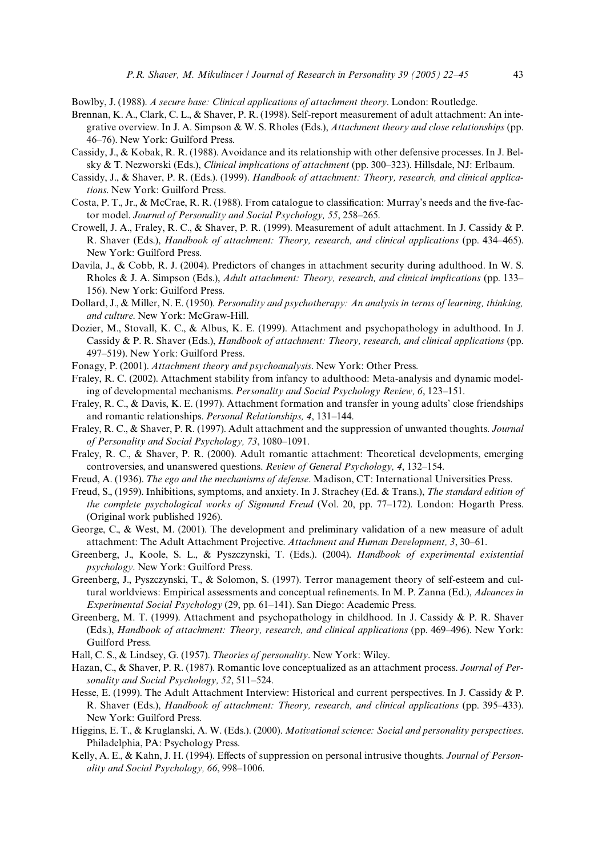<span id="page-21-10"></span>Bowlby, J. (1988). *A secure base: Clinical applications of attachment theory*. London: Routledge.

- <span id="page-21-15"></span>Brennan, K. A., Clark, C. L., & Shaver, P. R. (1998). Self-report measurement of adult attachment: An integrative overview. In J. A. Simpson & W. S. Rholes (Eds.), *Attachment theory and close relationships* (pp. 46–76). New York: Guilford Press.
- <span id="page-21-9"></span>Cassidy, J., & Kobak, R. R. (1988). Avoidance and its relationship with other defensive processes. In J. Belsky & T. Nezworski (Eds.), *Clinical implications of attachment* (pp. 300–323). Hillsdale, NJ: Erlbaum.
- <span id="page-21-5"></span>Cassidy, J., & Shaver, P. R. (Eds.). (1999). *Handbook of attachment: Theory, research, and clinical applications*. New York: Guilford Press.
- <span id="page-21-2"></span>Costa, P. T., Jr., & McCrae, R. R. (1988). From catalogue to classification: Murray's needs and the five-factor model. *Journal of Personality and Social Psychology, 55*, 258–265.
- <span id="page-21-12"></span>Crowell, J. A., Fraley, R. C., & Shaver, P. R. (1999). Measurement of adult attachment. In J. Cassidy & P. R. Shaver (Eds.), *Handbook of attachment: Theory, research, and clinical applications* (pp. 434–465). New York: Guilford Press.
- <span id="page-21-21"></span>Davila, J., & Cobb, R. J. (2004). Predictors of changes in attachment security during adulthood. In W. S. Rholes & J. A. Simpson (Eds.), *Adult attachment: Theory, research, and clinical implications* (pp. 133– 156). New York: Guilford Press.
- <span id="page-21-1"></span>Dollard, J., & Miller, N. E. (1950). *Personality and psychotherapy: An analysis in terms of learning, thinking, and culture*. New York: McGraw-Hill.
- <span id="page-21-13"></span>Dozier, M., Stovall, K. C., & Albus, K. E. (1999). Attachment and psychopathology in adulthood. In J. Cassidy & P. R. Shaver (Eds.), *Handbook of attachment: Theory, research, and clinical applications* (pp. 497–519). New York: Guilford Press.
- <span id="page-21-6"></span>Fonagy, P. (2001). *Attachment theory and psychoanalysis*. New York: Other Press.
- <span id="page-21-11"></span>Fraley, R. C. (2002). Attachment stability from infancy to adulthood: Meta-analysis and dynamic modeling of developmental mechanisms. *Personality and Social Psychology Review, 6*, 123–151.
- <span id="page-21-14"></span>Fraley, R. C., & Davis, K. E. (1997). Attachment formation and transfer in young adults' close friendships and romantic relationships. *Personal Relationships, 4*, 131–144.
- <span id="page-21-20"></span>Fraley, R. C., & Shaver, P. R. (1997). Adult attachment and the suppression of unwanted thoughts. *Journal of Personality and Social Psychology, 73*, 1080–1091.
- <span id="page-21-7"></span>Fraley, R. C., & Shaver, P. R. (2000). Adult romantic attachment: Theoretical developments, emerging controversies, and unanswered questions. *Review of General Psychology, 4*, 132–154.
- <span id="page-21-16"></span>Freud, A. (1936). *The ego and the mechanisms of defense*. Madison, CT: International Universities Press.
- <span id="page-21-18"></span>Freud, S., (1959). Inhibitions, symptoms, and anxiety. In J. Strachey (Ed. & Trans.), *The standard edition of the complete psychological works of Sigmund Freud* (Vol. 20, pp. 77–172). London: Hogarth Press. (Original work published 1926).
- <span id="page-21-17"></span>George, C., & West, M. (2001). The development and preliminary validation of a new measure of adult attachment: The Adult Attachment Projective. *Attachment and Human Development, 3*, 30–61.
- <span id="page-21-4"></span>Greenberg, J., Koole, S. L., & Pyszczynski, T. (Eds.). (2004). *Handbook of experimental existential psychology*. New York: Guilford Press.
- <span id="page-21-3"></span>Greenberg, J., Pyszczynski, T., & Solomon, S. (1997). Terror management theory of self-esteem and cultural worldviews: Empirical assessments and conceptual refinements. In M. P. Zanna (Ed.), *Advances in Experimental Social Psychology* (29, pp. 61–141). San Diego: Academic Press.
- Greenberg, M. T. (1999). Attachment and psychopathology in childhood. In J. Cassidy & P. R. Shaver (Eds.), *Handbook of attachment: Theory, research, and clinical applications* (pp. 469–496). New York: Guilford Press.
- <span id="page-21-0"></span>Hall, C. S., & Lindsey, G. (1957). *Theories of personality*. New York: Wiley.
- <span id="page-21-8"></span>Hazan, C., & Shaver, P. R. (1987). Romantic love conceptualized as an attachment process. *Journal of Personality and Social Psychology, 52*, 511–524.
- Hesse, E. (1999). The Adult Attachment Interview: Historical and current perspectives. In J. Cassidy & P. R. Shaver (Eds.), *Handbook of attachment: Theory, research, and clinical applications* (pp. 395–433). New York: Guilford Press.
- Higgins, E. T., & Kruglanski, A. W. (Eds.). (2000). *Motivational science: Social and personality perspectives*. Philadelphia, PA: Psychology Press.
- <span id="page-21-19"></span>Kelly, A. E., & Kahn, J. H. (1994). Effects of suppression on personal intrusive thoughts. *Journal of Personality and Social Psychology, 66*, 998–1006.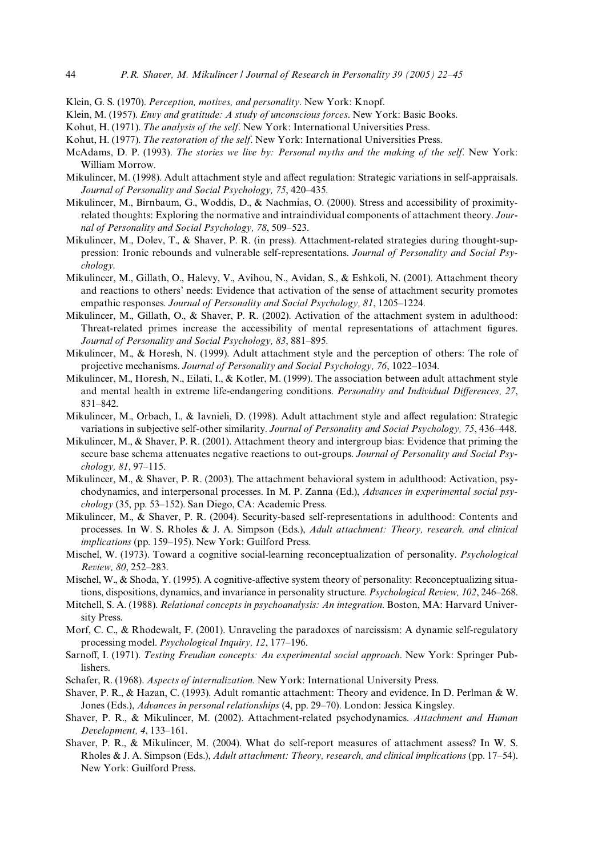- <span id="page-22-2"></span>Klein, M. (1957). *Envy and gratitude: A study of unconscious forces*. New York: Basic Books.
- <span id="page-22-3"></span>Kohut, H. (1971). *The analysis of the self*. New York: International Universities Press.
- Kohut, H. (1977). *The restoration of the self*. New York: International Universities Press.
- <span id="page-22-0"></span>McAdams, D. P. (1993). *The stories we live by: Personal myths and the making of the self*. New York: William Morrow.
- <span id="page-22-10"></span>Mikulincer, M. (1998). Adult attachment style and affect regulation: Strategic variations in self-appraisals. *Journal of Personality and Social Psychology, 75*, 420–435.
- <span id="page-22-8"></span>Mikulincer, M., Birnbaum, G., Woddis, D., & Nachmias, O. (2000). Stress and accessibility of proximityrelated thoughts: Exploring the normative and intraindividual components of attachment theory. *Journal of Personality and Social Psychology, 78*, 509–523.
- <span id="page-22-14"></span>Mikulincer, M., Dolev, T., & Shaver, P. R. (in press). Attachment-related strategies during thought-suppression: Ironic rebounds and vulnerable self-representations. *Journal of Personality and Social Psychology*.
- <span id="page-22-15"></span>Mikulincer, M., Gillath, O., Halevy, V., Avihou, N., Avidan, S., & Eshkoli, N. (2001). Attachment theory and reactions to others' needs: Evidence that activation of the sense of attachment security promotes empathic responses. *Journal of Personality and Social Psychology, 81*, 1205–1224.
- <span id="page-22-9"></span>Mikulincer, M., Gillath, O., & Shaver, P. R. (2002). Activation of the attachment system in adulthood: Threat-related primes increase the accessibility of mental representations of attachment figures. *Journal of Personality and Social Psychology, 83*, 881–895.
- <span id="page-22-12"></span>Mikulincer, M., & Horesh, N. (1999). Adult attachment style and the perception of others: The role of projective mechanisms. *Journal of Personality and Social Psychology, 76*, 1022–1034.
- <span id="page-22-13"></span>Mikulincer, M., Horesh, N., Eilati, I., & Kotler, M. (1999). The association between adult attachment style and mental health in extreme life-endangering conditions. *Personality and Individual Differences*, 27, 831–842.
- <span id="page-22-11"></span>Mikulincer, M., Orbach, I., & Iavnieli, D. (1998). Adult attachment style and affect regulation: Strategic variations in subjective self-other similarity. *Journal of Personality and Social Psychology, 75*, 436–448.
- <span id="page-22-5"></span>Mikulincer, M., & Shaver, P. R. (2001). Attachment theory and intergroup bias: Evidence that priming the secure base schema attenuates negative reactions to out-groups. *Journal of Personality and Social Psychology, 81*, 97–115.
- <span id="page-22-4"></span>Mikulincer, M., & Shaver, P. R. (2003). The attachment behavioral system in adulthood: Activation, psychodynamics, and interpersonal processes. In M. P. Zanna (Ed.), *Advances in experimental social psychology* (35, pp. 53–152). San Diego, CA: Academic Press.
- <span id="page-22-7"></span>Mikulincer, M., & Shaver, P. R. (2004). Security-based self-representations in adulthood: Contents and processes. In W. S. Rholes & J. A. Simpson (Eds.), *Adult attachment: Theory, research, and clinical implications* (pp. 159–195). New York: Guilford Press.
- Mischel, W. (1973). Toward a cognitive social-learning reconceptualization of personality. *Psychological Review, 80*, 252–283.
- Mischel, W., & Shoda, Y. (1995). A cognitive-affective system theory of personality: Reconceptualizing situations, dispositions, dynamics, and invariance in personality structure. *Psychological Review, 102*, 246–268.
- Mitchell, S. A. (1988). *Relational concepts in psychoanalysis: An integration*. Boston, MA: Harvard University Press.
- <span id="page-22-1"></span>Morf, C. C., & Rhodewalt, F. (2001). Unraveling the paradoxes of narcissism: A dynamic self-regulatory processing model. *Psychological Inquiry, 12*, 177–196.
- Sarnoff, I. (1971). *Testing Freudian concepts: An experimental social approach*. New York: Springer Publishers.
- Schafer, R. (1968). *Aspects of internalization*. New York: International University Press.
- Shaver, P. R., & Hazan, C. (1993). Adult romantic attachment: Theory and evidence. In D. Perlman & W. Jones (Eds.), *Advances in personal relationships* (4, pp. 29–70). London: Jessica Kingsley.
- <span id="page-22-6"></span>Shaver, P. R., & Mikulincer, M. (2002). Attachment-related psychodynamics. *Attachment and Human Development, 4*, 133–161.
- Shaver, P. R., & Mikulincer, M. (2004). What do self-report measures of attachment assess? In W. S. Rholes & J. A. Simpson (Eds.), *Adult attachment: Theory, research, and clinical implications* (pp. 17–54). New York: Guilford Press.

Klein, G. S. (1970). *Perception, motives, and personality*. New York: Knopf.